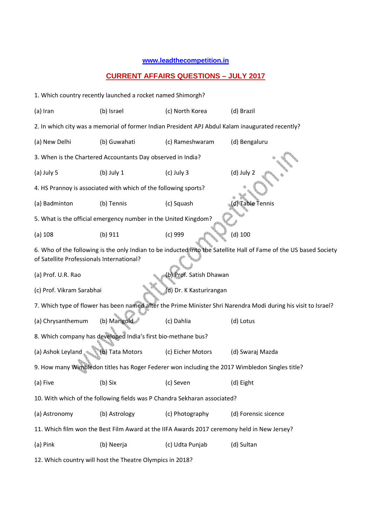## **www.leadthecompetition.in**

## **CURRENT AFFAIRS QUESTIONS – JULY 2017**

| 1. Which country recently launched a rocket named Shimorgh?                                                                                                    |                 |                   |                      |  |  |  |  |  |  |  |  |
|----------------------------------------------------------------------------------------------------------------------------------------------------------------|-----------------|-------------------|----------------------|--|--|--|--|--|--|--|--|
| (a) Iran                                                                                                                                                       | (b) Israel      | (c) North Korea   | (d) Brazil           |  |  |  |  |  |  |  |  |
| 2. In which city was a memorial of former Indian President APJ Abdul Kalam inaugurated recently?                                                               |                 |                   |                      |  |  |  |  |  |  |  |  |
| (a) New Delhi                                                                                                                                                  | (b) Guwahati    | (c) Rameshwaram   | (d) Bengaluru        |  |  |  |  |  |  |  |  |
| 3. When is the Chartered Accountants Day observed in India?                                                                                                    |                 |                   |                      |  |  |  |  |  |  |  |  |
| (a) July 5                                                                                                                                                     | $(b)$ July 1    | $(c)$ July 3      | $(d)$ July 2         |  |  |  |  |  |  |  |  |
| 4. HS Prannoy is associated with which of the following sports?                                                                                                |                 |                   |                      |  |  |  |  |  |  |  |  |
| (a) Badminton                                                                                                                                                  | (b) Tennis      | (c) Squash        | d) Table Tennis      |  |  |  |  |  |  |  |  |
| 5. What is the official emergency number in the United Kingdom?                                                                                                |                 |                   |                      |  |  |  |  |  |  |  |  |
| (a) 108                                                                                                                                                        | (b) 911         | $(c)$ 999         | $(d)$ 100            |  |  |  |  |  |  |  |  |
| 6. Who of the following is the only Indian to be inducted into the Satellite Hall of Fame of the US based Society<br>of Satellite Professionals International? |                 |                   |                      |  |  |  |  |  |  |  |  |
| (b) Prof. Satish Dhawan<br>(a) Prof. U.R. Rao                                                                                                                  |                 |                   |                      |  |  |  |  |  |  |  |  |
| (c) Prof. Vikram Sarabhai<br>d) Dr. K Kasturirangan                                                                                                            |                 |                   |                      |  |  |  |  |  |  |  |  |
| 7. Which type of flower has been named after the Prime Minister Shri Narendra Modi during his visit to Israel?                                                 |                 |                   |                      |  |  |  |  |  |  |  |  |
| (a) Chrysanthemum                                                                                                                                              | (b) Marigold    | (c) Dahlia        | (d) Lotus            |  |  |  |  |  |  |  |  |
| 8. Which company has developed India's first bio-methane bus?                                                                                                  |                 |                   |                      |  |  |  |  |  |  |  |  |
| (a) Ashok Leyland                                                                                                                                              | (b) Tata Motors | (c) Eicher Motors | (d) Swaraj Mazda     |  |  |  |  |  |  |  |  |
| 9. How many Wimbledon titles has Roger Federer won including the 2017 Wimbledon Singles title?                                                                 |                 |                   |                      |  |  |  |  |  |  |  |  |
| (a) Five                                                                                                                                                       | (b) Six         | (c) Seven         | (d) Eight            |  |  |  |  |  |  |  |  |
| 10. With which of the following fields was P Chandra Sekharan associated?                                                                                      |                 |                   |                      |  |  |  |  |  |  |  |  |
| (a) Astronomy                                                                                                                                                  | (b) Astrology   | (c) Photography   | (d) Forensic sicence |  |  |  |  |  |  |  |  |
| 11. Which film won the Best Film Award at the IIFA Awards 2017 ceremony held in New Jersey?                                                                    |                 |                   |                      |  |  |  |  |  |  |  |  |
| (a) Pink                                                                                                                                                       | (b) Neerja      | (c) Udta Punjab   | (d) Sultan           |  |  |  |  |  |  |  |  |
| 12. Which country will host the Theatre Olympics in 2018?                                                                                                      |                 |                   |                      |  |  |  |  |  |  |  |  |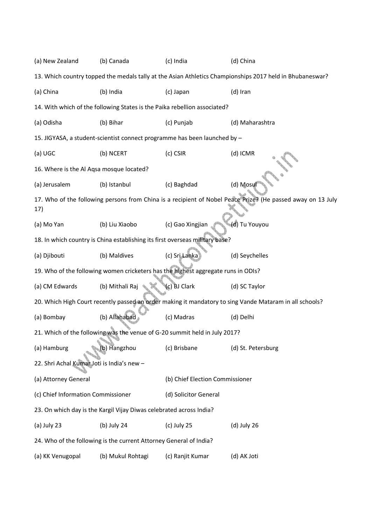(a) New Zealand (b) Canada (c) India (d) China 13. Which country topped the medals tally at the Asian Athletics Championships 2017 held in Bhubaneswar? (a) China (b) India (c) Japan (d) Iran 14. With which of the following States is the Paika rebellion associated? (a) Odisha (b) Bihar (c) Punjab (d) Maharashtra 15. JIGYASA, a student-scientist connect programme has been launched by – (a) UGC (b) NCERT (c) CSIR (d) ICMR 16. Where is the Al Aqsa mosque located? (a) Jerusalem (b) Istanbul (c) Baghdad (d) Mosul 17. Who of the following persons from China is a recipient of Nobel Peace Prize? (He passed away on 13 July 17) (a) Mo Yan (b) Liu Xiaobo (c) Gao Xingjian (d) Tu Youyou 18. In which country is China establishing its first overseas military base? (a) Djibouti (b) Maldives (c) Sri Lanka (d) Seychelles 19. Who of the following women cricketers has the highest aggregate runs in ODIs? (a) CM Edwards (b) Mithali Raj (c) BJ Clark (d) SC Taylor 20. Which High Court recently passed an order making it mandatory to sing Vande Mataram in all schools? (a) Bombay (b) Allahabad (c) Madras (d) Delhi 21. Which of the following was the venue of G-20 summit held in July 2017? (a) Hamburg (b) Hangzhou (c) Brisbane (d) St. Petersburg 22. Shri Achal Kumar Joti is India's new – (a) Attorney General (b) Chief Election Commissioner (c) Chief Information Commissioner (d) Solicitor General 23. On which day is the Kargil Vijay Diwas celebrated across India? (a) July 23 (b) July 24 (c) July 25 (d) July 26 24. Who of the following is the current Attorney General of India? (a) KK Venugopal (b) Mukul Rohtagi (c) Ranjit Kumar (d) AK Joti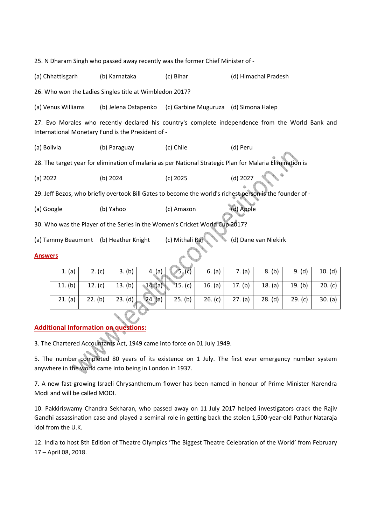25. N Dharam Singh who passed away recently was the former Chief Minister of -

(a) Chhattisgarh (b) Karnataka (c) Bihar (d) Himachal Pradesh

26. Who won the Ladies Singles title at Wimbledon 2017?

(a) Venus Williams (b) Jelena Ostapenko (c) Garbine Muguruza (d) Simona Halep

27. Evo Morales who recently declared his country's complete independence from the World Bank and International Monetary Fund is the President of -

(a) Bolivia (b) Paraguay (c) Chile (d) Peru

28. The target year for elimination of malaria as per National Strategic Plan for Malaria Elimination is

(a) 2022 (b) 2024 (c) 2025 (d) 2027

29. Jeff Bezos, who briefly overtook Bill Gates to become the world's richest person is the founder of -

(a) Google (b) Yahoo (c) Amazon (d) Apple

30. Who was the Player of the Series in the Women's Cricket World Cup 2017?

(a) Tammy Beaumont (b) Heather Knight (c) Mithali Raj (d) Dane van Niekirk

## **Answers**

| 1. $(a)$ | 2. (c) $ $      | 3. (b) | $\sqrt{5}$ , (c)<br>$4.$ (a) $\overline{\phantom{a}}$ | 6. (a) $\vert$                                                             | 7. (a) $ $ | 8. (b)  | 9. (d)          | 10. (d) |  |  |  |
|----------|-----------------|--------|-------------------------------------------------------|----------------------------------------------------------------------------|------------|---------|-----------------|---------|--|--|--|
| 11. (b)  | 12. (c) $\vert$ |        | 13. (b) 14. (a)                                       | <b>15.</b> (c) $\begin{vmatrix} 16. (a) & 17. (b) & 18. (a) \end{vmatrix}$ |            |         | 19. (b) $\vert$ | 20. (c) |  |  |  |
| 21. (a)  | 22. (b)         |        | 23. (d) $24. (a)$                                     | 25. (b) $\begin{vmatrix} 26 & c \end{vmatrix}$ 27. (a)                     |            | 28. (d) | 29. (c)         | 30. (a) |  |  |  |

## **Additional Information on questions:**

3. The Chartered Accountants Act, 1949 came into force on 01 July 1949.

5. The number completed 80 years of its existence on 1 July. The first ever emergency number system anywhere in the world came into being in London in 1937.

7. A new fast-growing Israeli Chrysanthemum flower has been named in honour of Prime Minister Narendra Modi and will be called MODI.

10. Pakkiriswamy Chandra Sekharan, who passed away on 11 July 2017 helped investigators crack the Rajiv Gandhi assassination case and played a seminal role in getting back the stolen 1,500-year-old Pathur Nataraja idol from the U.K.

12. India to host 8th Edition of Theatre Olympics 'The Biggest Theatre Celebration of the World' from February 17 – April 08, 2018.